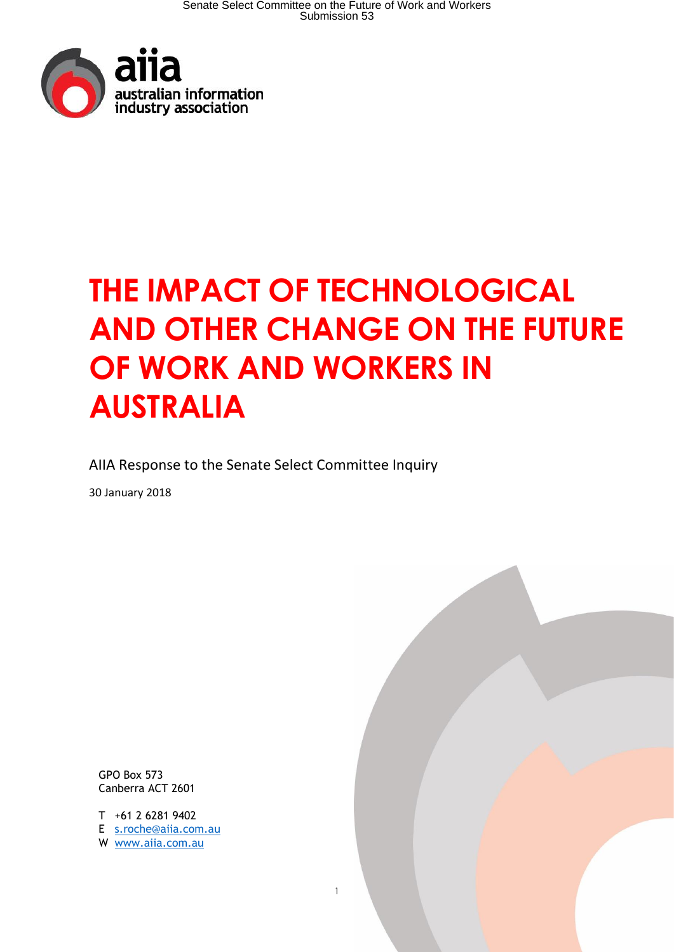

# **THE IMPACT OF TECHNOLOGICAL AND OTHER CHANGE ON THE FUTURE OF WORK AND WORKERS IN AUSTRALIA**

AIIA Response to the Senate Select Committee Inquiry

30 January 2018

GPO Box 573 Canberra ACT 2601

T +61 2 6281 9402 E [s.roche@aiia.com.au](mailto:s.roche@aiia.com.au)  W [www.aiia.com.au](http://www.aiia.com.au/)

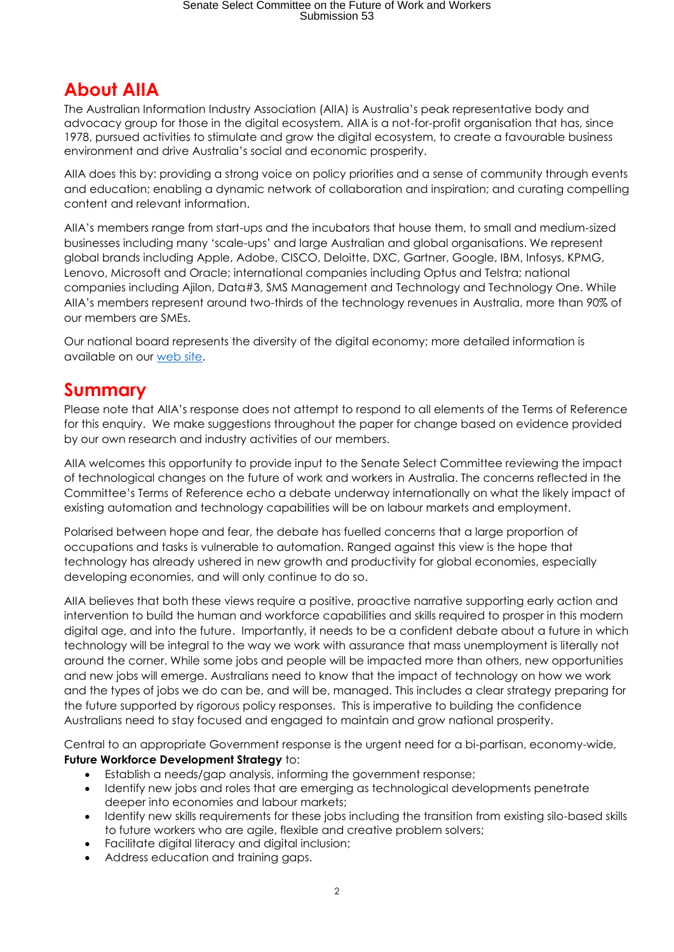# **About AIIA**

The Australian Information Industry Association (AIIA) is Australia's peak representative body and advocacy group for those in the digital ecosystem. AIIA is a not-for-profit organisation that has, since 1978, pursued activities to stimulate and grow the digital ecosystem, to create a favourable business environment and drive Australia's social and economic prosperity.

AIIA does this by: providing a strong voice on policy priorities and a sense of community through events and education; enabling a dynamic network of collaboration and inspiration; and curating compelling content and relevant information.

AIIA's members range from start-ups and the incubators that house them, to small and medium-sized businesses including many 'scale-ups' and large Australian and global organisations. We represent global brands including Apple, Adobe, CISCO, Deloitte, DXC, Gartner, Google, IBM, Infosys, KPMG, Lenovo, Microsoft and Oracle; international companies including Optus and Telstra; national companies including Ajilon, Data#3, SMS Management and Technology and Technology One. While AIIA's members represent around two-thirds of the technology revenues in Australia, more than 90% of our members are SMEs.

Our national board represents the diversity of the digital economy; more detailed information is available on our [web site.](https://www.aiia.com.au/)

# **Summary**

Please note that AIIA's response does not attempt to respond to all elements of the Terms of Reference for this enquiry. We make suggestions throughout the paper for change based on evidence provided by our own research and industry activities of our members.

AIIA welcomes this opportunity to provide input to the Senate Select Committee reviewing the impact of technological changes on the future of work and workers in Australia. The concerns reflected in the Committee's Terms of Reference echo a debate underway internationally on what the likely impact of existing automation and technology capabilities will be on labour markets and employment.

Polarised between hope and fear, the debate has fuelled concerns that a large proportion of occupations and tasks is vulnerable to automation. Ranged against this view is the hope that technology has already ushered in new growth and productivity for global economies, especially developing economies, and will only continue to do so.

AIIA believes that both these views require a positive, proactive narrative supporting early action and intervention to build the human and workforce capabilities and skills required to prosper in this modern digital age, and into the future. Importantly, it needs to be a confident debate about a future in which technology will be integral to the way we work with assurance that mass unemployment is literally not around the corner. While some jobs and people will be impacted more than others, new opportunities and new jobs will emerge. Australians need to know that the impact of technology on how we work and the types of jobs we do can be, and will be, managed. This includes a clear strategy preparing for the future supported by rigorous policy responses. This is imperative to building the confidence Australians need to stay focused and engaged to maintain and grow national prosperity.

Central to an appropriate Government response is the urgent need for a bi-partisan, economy-wide, **Future Workforce Development Strategy** to:

- Establish a needs/gap analysis, informing the government response;
- Identify new jobs and roles that are emerging as technological developments penetrate deeper into economies and labour markets;
- Identify new skills requirements for these jobs including the transition from existing silo-based skills to future workers who are agile, flexible and creative problem solvers;
- Facilitate digital literacy and digital inclusion;
- Address education and training gaps.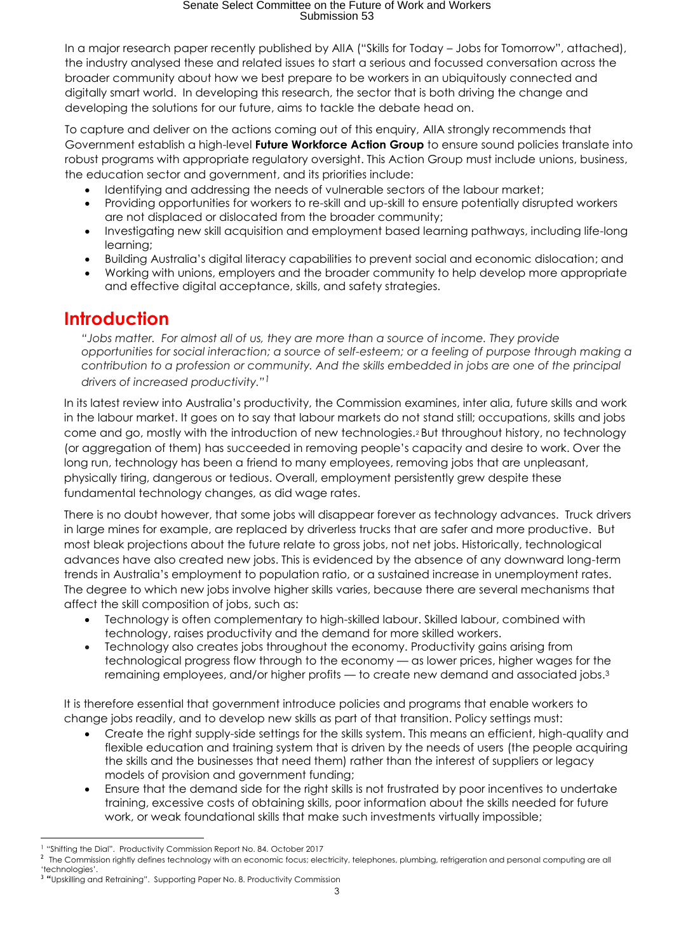In a major research paper recently published by AIIA ("Skills for Today – Jobs for Tomorrow", attached), the industry analysed these and related issues to start a serious and focussed conversation across the broader community about how we best prepare to be workers in an ubiquitously connected and digitally smart world. In developing this research, the sector that is both driving the change and developing the solutions for our future, aims to tackle the debate head on.

To capture and deliver on the actions coming out of this enquiry, AIIA strongly recommends that Government establish a high-level **Future Workforce Action Group** to ensure sound policies translate into robust programs with appropriate regulatory oversight. This Action Group must include unions, business, the education sector and government, and its priorities include:

- Identifying and addressing the needs of vulnerable sectors of the labour market;
- Providing opportunities for workers to re-skill and up-skill to ensure potentially disrupted workers are not displaced or dislocated from the broader community;
- Investigating new skill acquisition and employment based learning pathways, including life-long learning;
- Building Australia's digital literacy capabilities to prevent social and economic dislocation; and
- Working with unions, employers and the broader community to help develop more appropriate and effective digital acceptance, skills, and safety strategies.

### **Introduction**

*"Jobs matter. For almost all of us, they are more than a source of income. They provide opportunities for social interaction; a source of self-esteem; or a feeling of purpose through making a contribution to a profession or community. And the skills embedded in jobs are one of the principal drivers of increased productivity."1*

In its latest review into Australia's productivity, the Commission examines, inter alia, future skills and work in the labour market. It goes on to say that labour markets do not stand still; occupations, skills and jobs come and go, mostly with the introduction of new technologies.<sup>2</sup> But throughout history, no technology (or aggregation of them) has succeeded in removing people's capacity and desire to work. Over the long run, technology has been a friend to many employees, removing jobs that are unpleasant, physically tiring, dangerous or tedious. Overall, employment persistently grew despite these fundamental technology changes, as did wage rates.

There is no doubt however, that some jobs will disappear forever as technology advances. Truck drivers in large mines for example, are replaced by driverless trucks that are safer and more productive. But most bleak projections about the future relate to gross jobs, not net jobs. Historically, technological advances have also created new jobs. This is evidenced by the absence of any downward long-term trends in Australia's employment to population ratio, or a sustained increase in unemployment rates. The degree to which new jobs involve higher skills varies, because there are several mechanisms that affect the skill composition of jobs, such as:

- Technology is often complementary to high-skilled labour. Skilled labour, combined with technology, raises productivity and the demand for more skilled workers.
- Technology also creates jobs throughout the economy. Productivity gains arising from technological progress flow through to the economy — as lower prices, higher wages for the remaining employees, and/or higher profits — to create new demand and associated jobs. 3

It is therefore essential that government introduce policies and programs that enable workers to change jobs readily, and to develop new skills as part of that transition. Policy settings must:

- Create the right supply-side settings for the skills system. This means an efficient, high-quality and flexible education and training system that is driven by the needs of users (the people acquiring the skills and the businesses that need them) rather than the interest of suppliers or legacy models of provision and government funding;
- Ensure that the demand side for the right skills is not frustrated by poor incentives to undertake training, excessive costs of obtaining skills, poor information about the skills needed for future work, or weak foundational skills that make such investments virtually impossible;

**<sup>.</sup>** <sup>1</sup> "Shifting the Dial". Productivity Commission Report No. 84. October 2017

 $^2$  The Commission rightly defines technology with an economic focus; electricity, telephones, plumbing, refrigeration and personal computing are all 'technologies'.

<sup>&</sup>lt;sup>3</sup> "Upskilling and Retraining". Supporting Paper No. 8. Productivity Commission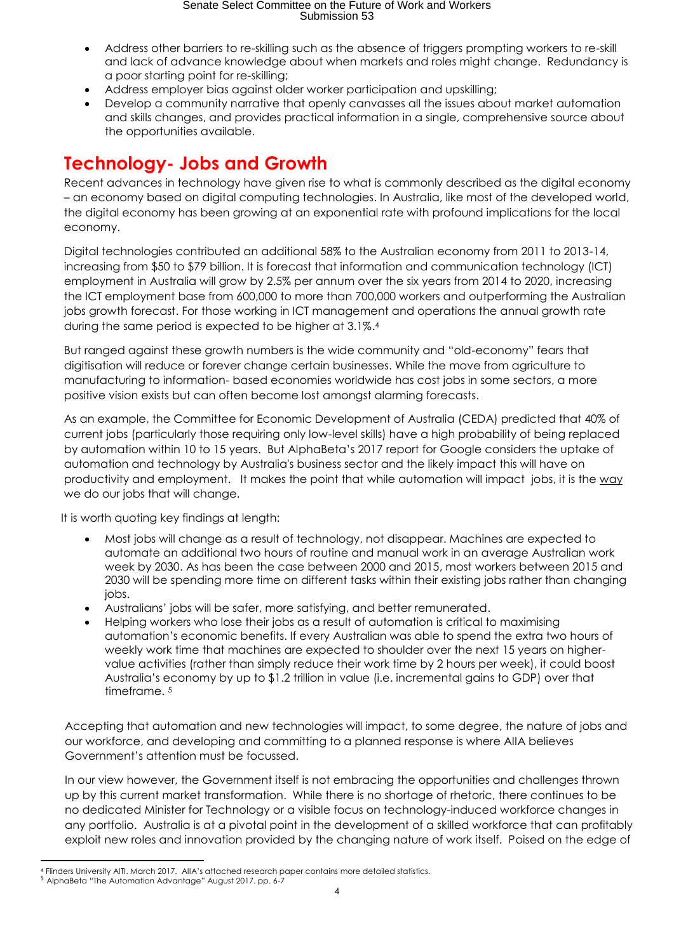- Address other barriers to re-skilling such as the absence of triggers prompting workers to re-skill and lack of advance knowledge about when markets and roles might change. Redundancy is a poor starting point for re-skilling;
- Address employer bias against older worker participation and upskilling;
- Develop a community narrative that openly canvasses all the issues about market automation and skills changes, and provides practical information in a single, comprehensive source about the opportunities available.

# **Technology- Jobs and Growth**

Recent advances in technology have given rise to what is commonly described as the digital economy – an economy based on digital computing technologies. In Australia, like most of the developed world, the digital economy has been growing at an exponential rate with profound implications for the local economy.

Digital technologies contributed an additional 58% to the Australian economy from 2011 to 2013-14, increasing from \$50 to \$79 billion. It is forecast that information and communication technology (ICT) employment in Australia will grow by 2.5% per annum over the six years from 2014 to 2020, increasing the ICT employment base from 600,000 to more than 700,000 workers and outperforming the Australian jobs growth forecast. For those working in ICT management and operations the annual growth rate during the same period is expected to be higher at 3.1%. 4

But ranged against these growth numbers is the wide community and "old-economy" fears that digitisation will reduce or forever change certain businesses. While the move from agriculture to manufacturing to information- based economies worldwide has cost jobs in some sectors, a more positive vision exists but can often become lost amongst alarming forecasts.

As an example, the Committee for Economic Development of Australia (CEDA) predicted that 40% of current jobs (particularly those requiring only low-level skills) have a high probability of being replaced by automation within 10 to 15 years. But AlphaBeta's 2017 report for Google considers the uptake of automation and technology by Australia's business sector and the likely impact this will have on productivity and employment. It makes the point that while automation will impact jobs, it is the way we do our jobs that will change.

It is worth quoting key findings at length:

- Most jobs will change as a result of technology, not disappear. Machines are expected to automate an additional two hours of routine and manual work in an average Australian work week by 2030. As has been the case between 2000 and 2015, most workers between 2015 and 2030 will be spending more time on different tasks within their existing jobs rather than changing jobs.
- Australians' jobs will be safer, more satisfying, and better remunerated.
- Helping workers who lose their jobs as a result of automation is critical to maximising automation's economic benefits. If every Australian was able to spend the extra two hours of weekly work time that machines are expected to shoulder over the next 15 years on highervalue activities (rather than simply reduce their work time by 2 hours per week), it could boost Australia's economy by up to \$1.2 trillion in value (i.e. incremental gains to GDP) over that timeframe.<sup>5</sup>

Accepting that automation and new technologies will impact, to some degree, the nature of jobs and our workforce, and developing and committing to a planned response is where AIIA believes Government's attention must be focussed.

In our view however, the Government itself is not embracing the opportunities and challenges thrown up by this current market transformation. While there is no shortage of rhetoric, there continues to be no dedicated Minister for Technology or a visible focus on technology-induced workforce changes in any portfolio. Australia is at a pivotal point in the development of a skilled workforce that can profitably exploit new roles and innovation provided by the changing nature of work itself. Poised on the edge of

<sup>1</sup> <sup>4</sup> Flinders University AITI. March 2017. AIIA's attached research paper contains more detailed statistics.

<sup>5</sup> AlphaBeta "The Automation Advantage" August 2017. pp. 6-7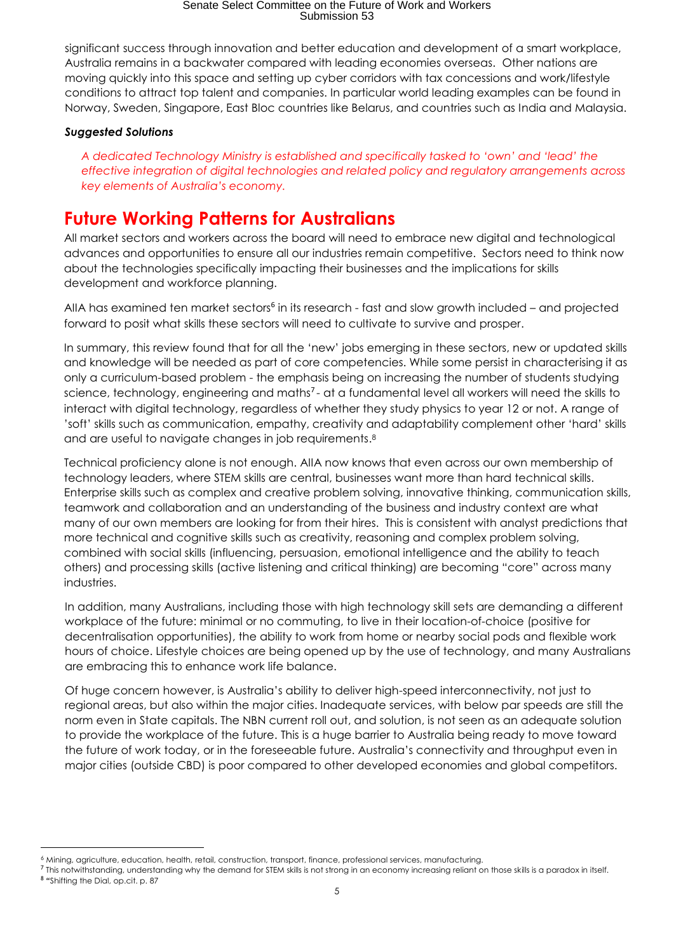significant success through innovation and better education and development of a smart workplace, Australia remains in a backwater compared with leading economies overseas. Other nations are moving quickly into this space and setting up cyber corridors with tax concessions and work/lifestyle conditions to attract top talent and companies. In particular world leading examples can be found in Norway, Sweden, Singapore, East Bloc countries like Belarus, and countries such as India and Malaysia.

#### *Suggested Solutions*

**.** 

*A dedicated Technology Ministry is established and specifically tasked to 'own' and 'lead' the effective integration of digital technologies and related policy and regulatory arrangements across key elements of Australia's economy.* 

# **Future Working Patterns for Australians**

All market sectors and workers across the board will need to embrace new digital and technological advances and opportunities to ensure all our industries remain competitive. Sectors need to think now about the technologies specifically impacting their businesses and the implications for skills development and workforce planning.

AIIA has examined ten market sectors<sup>6</sup> in its research - fast and slow growth included - and projected forward to posit what skills these sectors will need to cultivate to survive and prosper.

In summary, this review found that for all the 'new' jobs emerging in these sectors, new or updated skills and knowledge will be needed as part of core competencies. While some persist in characterising it as only a curriculum-based problem - the emphasis being on increasing the number of students studying science, technology, engineering and maths<sup>7</sup>- at a fundamental level all workers will need the skills to interact with digital technology, regardless of whether they study physics to year 12 or not. A range of 'soft' skills such as communication, empathy, creativity and adaptability complement other 'hard' skills and are useful to navigate changes in job requirements. 8

Technical proficiency alone is not enough. AIIA now knows that even across our own membership of technology leaders, where STEM skills are central, businesses want more than hard technical skills. Enterprise skills such as complex and creative problem solving, innovative thinking, communication skills, teamwork and collaboration and an understanding of the business and industry context are what many of our own members are looking for from their hires. This is consistent with analyst predictions that more technical and cognitive skills such as creativity, reasoning and complex problem solving, combined with social skills (influencing, persuasion, emotional intelligence and the ability to teach others) and processing skills (active listening and critical thinking) are becoming "core" across many industries.

In addition, many Australians, including those with high technology skill sets are demanding a different workplace of the future: minimal or no commuting, to live in their location-of-choice (positive for decentralisation opportunities), the ability to work from home or nearby social pods and flexible work hours of choice. Lifestyle choices are being opened up by the use of technology, and many Australians are embracing this to enhance work life balance.

Of huge concern however, is Australia's ability to deliver high-speed interconnectivity, not just to regional areas, but also within the major cities. Inadequate services, with below par speeds are still the norm even in State capitals. The NBN current roll out, and solution, is not seen as an adequate solution to provide the workplace of the future. This is a huge barrier to Australia being ready to move toward the future of work today, or in the foreseeable future. Australia's connectivity and throughput even in major cities (outside CBD) is poor compared to other developed economies and global competitors.

<sup>6</sup> Mining, agriculture, education, health, retail, construction, transport, finance, professional services, manufacturing.

 $^7$  This notwithstanding, understanding why the demand for STEM skills is not strong in an economy increasing reliant on those skills is a paradox in itself. <sup>8</sup> "Shifting the Dial, op.cit. p. 87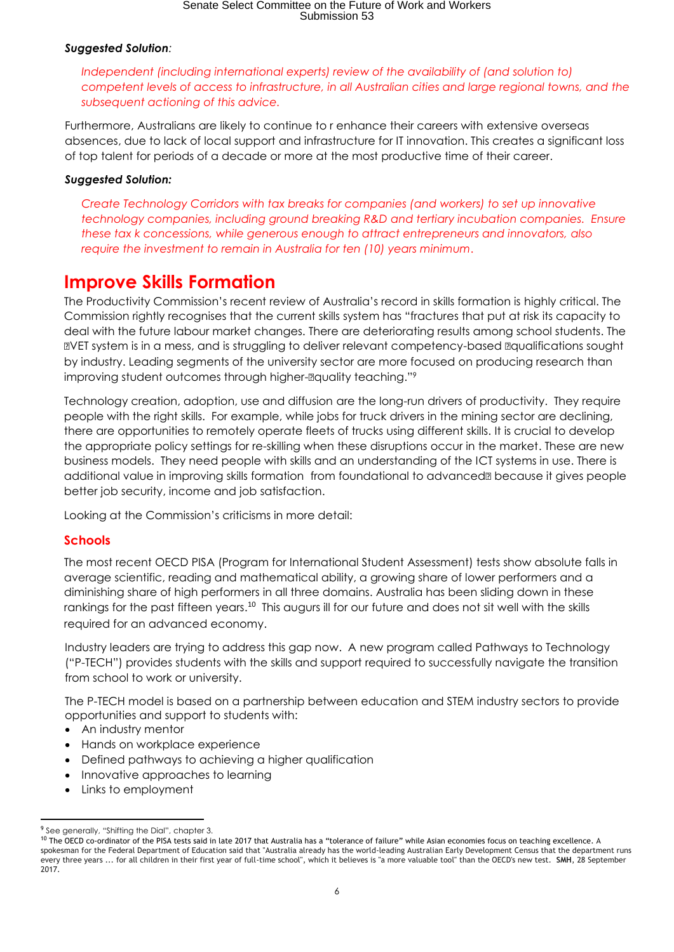#### *Suggested Solution:*

*Independent (including international experts) review of the availability of (and solution to) competent levels of access to infrastructure, in all Australian cities and large regional towns, and the subsequent actioning of this advice.*

Furthermore, Australians are likely to continue to r enhance their careers with extensive overseas absences, due to lack of local support and infrastructure for IT innovation. This creates a significant loss of top talent for periods of a decade or more at the most productive time of their career.

#### *Suggested Solution:*

*Create Technology Corridors with tax breaks for companies (and workers) to set up innovative technology companies, including ground breaking R&D and tertiary incubation companies. Ensure these tax k concessions, while generous enough to attract entrepreneurs and innovators, also require the investment to remain in Australia for ten (10) years minimum*.

### **Improve Skills Formation**

The Productivity Commission's recent review of Australia's record in skills formation is highly critical. The Commission rightly recognises that the current skills system has "fractures that put at risk its capacity to deal with the future labour market changes. There are deteriorating results among school students. The VET system is in a mess, and is struggling to deliver relevant competency-based qualifications sought by industry. Leading segments of the university sector are more focused on producing research than improving student outcomes through higher-@quality teaching."?

Technology creation, adoption, use and diffusion are the long-run drivers of productivity. They require people with the right skills. For example, while jobs for truck drivers in the mining sector are declining, there are opportunities to remotely operate fleets of trucks using different skills. It is crucial to develop the appropriate policy settings for re-skilling when these disruptions occur in the market. These are new business models. They need people with skills and an understanding of the ICT systems in use. There is additional value in improving skills formation from foundational to advanced<sup>la</sup> because it gives people better job security, income and job satisfaction.

Looking at the Commission's criticisms in more detail:

#### **Schools**

The most recent OECD PISA (Program for International Student Assessment) tests show absolute falls in average scientific, reading and mathematical ability, a growing share of lower performers and a diminishing share of high performers in all three domains. Australia has been sliding down in these rankings for the past fifteen years.<sup>10</sup> This augurs ill for our future and does not sit well with the skills required for an advanced economy.

Industry leaders are trying to address this gap now. A new program called Pathways to Technology ("P-TECH") provides students with the skills and support required to successfully navigate the transition from school to work or university.

The P-TECH model is based on a partnership between education and STEM industry sectors to provide opportunities and support to students with:

- An industry mentor
- Hands on workplace experience
- Defined pathways to achieving a higher qualification
- Innovative approaches to learning
- Links to employment

**<sup>.</sup>** <sup>9</sup> See generally, "Shifting the Dial", chapter 3.

<sup>10</sup> The OECD co-ordinator of the PISA tests said in late 2017 that Australia has a "tolerance of failure" while Asian economies focus on teaching excellence. A spokesman for the Federal Department of Education said that "Australia already has the world-leading Australian Early Development Census that the department runs every three years ... for all children in their first year of full-time school", which it believes is "a more valuable tool" than the OECD's new test. **SMH**, 28 September 2017.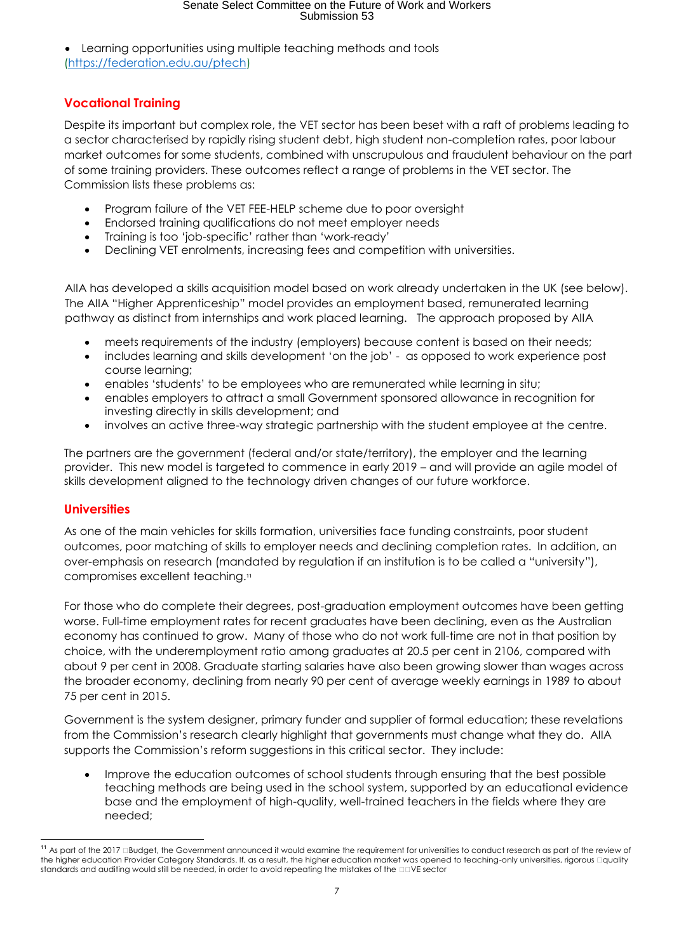• Learning opportunities using multiple teaching methods and tools [\(https://federation.edu.au/ptech\)](https://federation.edu.au/ptech)

#### **Vocational Training**

Despite its important but complex role, the VET sector has been beset with a raft of problems leading to a sector characterised by rapidly rising student debt, high student non-completion rates, poor labour market outcomes for some students, combined with unscrupulous and fraudulent behaviour on the part of some training providers. These outcomes reflect a range of problems in the VET sector. The Commission lists these problems as:

- Program failure of the VET FEE-HELP scheme due to poor oversight
- Endorsed training qualifications do not meet employer needs
- Training is too 'job-specific' rather than 'work-ready'
- Declining VET enrolments, increasing fees and competition with universities.

AIIA has developed a skills acquisition model based on work already undertaken in the UK (see below). The AIIA "Higher Apprenticeship" model provides an employment based, remunerated learning pathway as distinct from internships and work placed learning. The approach proposed by AIIA

- meets requirements of the industry (employers) because content is based on their needs;
- includes learning and skills development 'on the job' as opposed to work experience post course learning;
- enables 'students' to be employees who are remunerated while learning in situ;
- enables employers to attract a small Government sponsored allowance in recognition for investing directly in skills development; and
- involves an active three-way strategic partnership with the student employee at the centre.

The partners are the government (federal and/or state/territory), the employer and the learning provider. This new model is targeted to commence in early 2019 – and will provide an agile model of skills development aligned to the technology driven changes of our future workforce.

#### **Universities**

As one of the main vehicles for skills formation, universities face funding constraints, poor student outcomes, poor matching of skills to employer needs and declining completion rates. In addition, an over-emphasis on research (mandated by regulation if an institution is to be called a "university"), compromises excellent teaching.<sup>11</sup>

For those who do complete their degrees, post-graduation employment outcomes have been getting worse. Full-time employment rates for recent graduates have been declining, even as the Australian economy has continued to grow. Many of those who do not work full-time are not in that position by choice, with the underemployment ratio among graduates at 20.5 per cent in 2106, compared with about 9 per cent in 2008. Graduate starting salaries have also been growing slower than wages across the broader economy, declining from nearly 90 per cent of average weekly earnings in 1989 to about 75 per cent in 2015.

Government is the system designer, primary funder and supplier of formal education; these revelations from the Commission's research clearly highlight that governments must change what they do. AIIA supports the Commission's reform suggestions in this critical sector. They include:

• Improve the education outcomes of school students through ensuring that the best possible teaching methods are being used in the school system, supported by an educational evidence base and the employment of high-quality, well-trained teachers in the fields where they are needed;

 $\overline{a}$ <sup>11</sup> As part of the 2017 **Budget, the Government announced it would examine the requirement for universities to conduct research as part of the review of** the higher education Provider Category Standards. If, as a result, the higher education market was opened to teaching-only universities, rigorous Dquality standards and auditing would still be needed, in order to avoid repeating the mistakes of the DDVE sector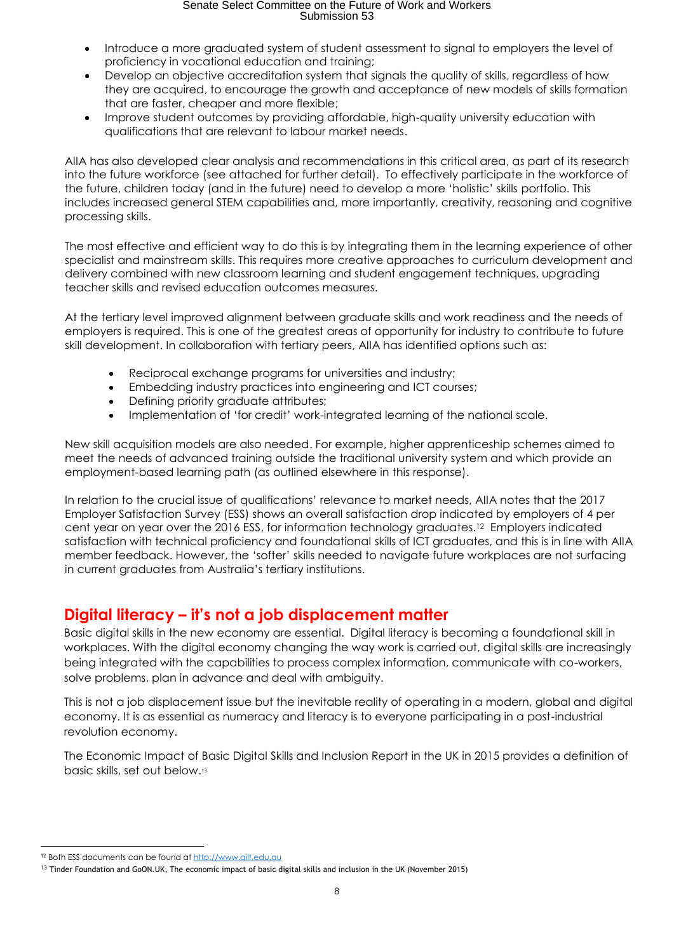- Introduce a more araduated system of student assessment to signal to employers the level of proficiency in vocational education and training;
- Develop an objective accreditation system that signals the quality of skills, regardless of how they are acquired, to encourage the growth and acceptance of new models of skills formation that are faster, cheaper and more flexible;
- Improve student outcomes by providing affordable, high-quality university education with qualifications that are relevant to labour market needs.

AIIA has also developed clear analysis and recommendations in this critical area, as part of its research into the future workforce (see attached for further detail). To effectively participate in the workforce of the future, children today (and in the future) need to develop a more 'holistic' skills portfolio. This includes increased general STEM capabilities and, more importantly, creativity, reasoning and cognitive processing skills.

The most effective and efficient way to do this is by integrating them in the learning experience of other specialist and mainstream skills. This requires more creative approaches to curriculum development and delivery combined with new classroom learning and student engagement techniques, upgrading teacher skills and revised education outcomes measures.

At the tertiary level improved alignment between graduate skills and work readiness and the needs of employers is required. This is one of the greatest areas of opportunity for industry to contribute to future skill development. In collaboration with tertiary peers, AIIA has identified options such as:

- Reciprocal exchange programs for universities and industry;
- Embedding industry practices into engineering and ICT courses;
- Defining priority graduate attributes;
- Implementation of 'for credit' work-integrated learning of the national scale.

New skill acquisition models are also needed. For example, higher apprenticeship schemes aimed to meet the needs of advanced training outside the traditional university system and which provide an employment-based learning path (as outlined elsewhere in this response).

In relation to the crucial issue of qualifications' relevance to market needs, AIIA notes that the 2017 Employer Satisfaction Survey (ESS) shows an overall satisfaction drop indicated by employers of 4 per cent year on year over the 2016 ESS, for information technology graduates.12 Employers indicated satisfaction with technical proficiency and foundational skills of ICT graduates, and this is in line with AIIA member feedback. However, the 'softer' skills needed to navigate future workplaces are not surfacing in current graduates from Australia's tertiary institutions.

### **Digital literacy – it's not a job displacement matter**

Basic digital skills in the new economy are essential. Digital literacy is becoming a foundational skill in workplaces. With the digital economy changing the way work is carried out, digital skills are increasingly being integrated with the capabilities to process complex information, communicate with co-workers, solve problems, plan in advance and deal with ambiguity.

This is not a job displacement issue but the inevitable reality of operating in a modern, global and digital economy. It is as essential as numeracy and literacy is to everyone participating in a post-industrial revolution economy.

The Economic Impact of Basic Digital Skills and Inclusion Report in the UK in 2015 provides a definition of basic skills, set out below.<sup>13</sup>

 $\overline{a}$ <sup>12</sup> Both ESS documents can be found a[t http://www.qilt.edu.au](http://www.qilt.edu.au/)

<sup>&</sup>lt;sup>13</sup> Tinder Foundation and GoON.UK, The economic impact of basic digital skills and inclusion in the UK (November 2015)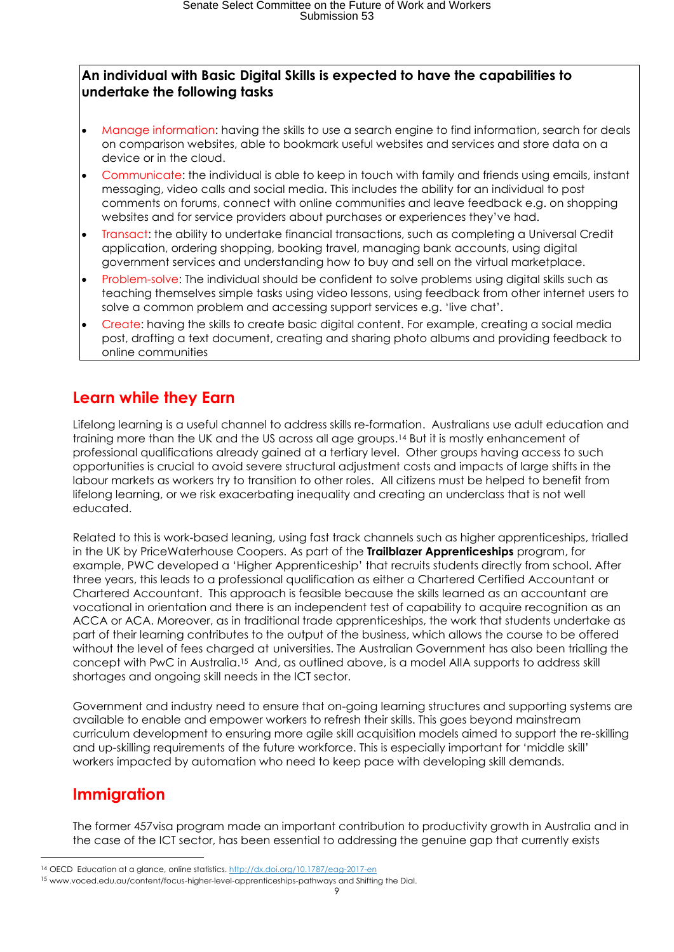#### **An individual with Basic Digital Skills is expected to have the capabilities to undertake the following tasks**

- Manage information: having the skills to use a search engine to find information, search for deals on comparison websites, able to bookmark useful websites and services and store data on a device or in the cloud.
- Communicate: the individual is able to keep in touch with family and friends using emails, instant messaging, video calls and social media. This includes the ability for an individual to post comments on forums, connect with online communities and leave feedback e.g. on shopping websites and for service providers about purchases or experiences they've had.
- Transact: the ability to undertake financial transactions, such as completing a Universal Credit application, ordering shopping, booking travel, managing bank accounts, using digital government services and understanding how to buy and sell on the virtual marketplace.
- Problem-solve: The individual should be confident to solve problems using digital skills such as teaching themselves simple tasks using video lessons, using feedback from other internet users to solve a common problem and accessing support services e.g. 'live chat'.
- Create: having the skills to create basic digital content. For example, creating a social media post, drafting a text document, creating and sharing photo albums and providing feedback to online communities

### **Learn while they Earn**

Lifelong learning is a useful channel to address skills re-formation. Australians use adult education and training more than the UK and the US across all age groups.<sup>14</sup> But it is mostly enhancement of professional qualifications already gained at a tertiary level. Other groups having access to such opportunities is crucial to avoid severe structural adjustment costs and impacts of large shifts in the labour markets as workers try to transition to other roles. All citizens must be helped to benefit from lifelong learning, or we risk exacerbating inequality and creating an underclass that is not well educated.

Related to this is work-based leaning, using fast track channels such as higher apprenticeships, trialled in the UK by PriceWaterhouse Coopers. As part of the **Trailblazer Apprenticeships** program, for example, PWC developed a 'Higher Apprenticeship' that recruits students directly from school. After three years, this leads to a professional qualification as either a Chartered Certified Accountant or Chartered Accountant. This approach is feasible because the skills learned as an accountant are vocational in orientation and there is an independent test of capability to acquire recognition as an ACCA or ACA. Moreover, as in traditional trade apprenticeships, the work that students undertake as part of their learning contributes to the output of the business, which allows the course to be offered without the level of fees charged at universities. The Australian Government has also been trialling the concept with PwC in Australia. <sup>15</sup> And, as outlined above, is a model AIIA supports to address skill shortages and ongoing skill needs in the ICT sector.

Government and industry need to ensure that on-going learning structures and supporting systems are available to enable and empower workers to refresh their skills. This goes beyond mainstream curriculum development to ensuring more agile skill acquisition models aimed to support the re-skilling and up-skilling requirements of the future workforce. This is especially important for 'middle skill' workers impacted by automation who need to keep pace with developing skill demands.

### **Immigration**

**.** 

The former 457visa program made an important contribution to productivity growth in Australia and in the case of the ICT sector, has been essential to addressing the genuine gap that currently exists

<sup>&</sup>lt;sup>14</sup> OECD Education at a glance, online statistics[. http://dx.doi.org/10.1787/eag-2017-en](http://dx.doi.org/10.1787/eag-2017-en)

<sup>15</sup> www.voced.edu.au/content/focus-higher-level-apprenticeships-pathways and Shifting the Dial.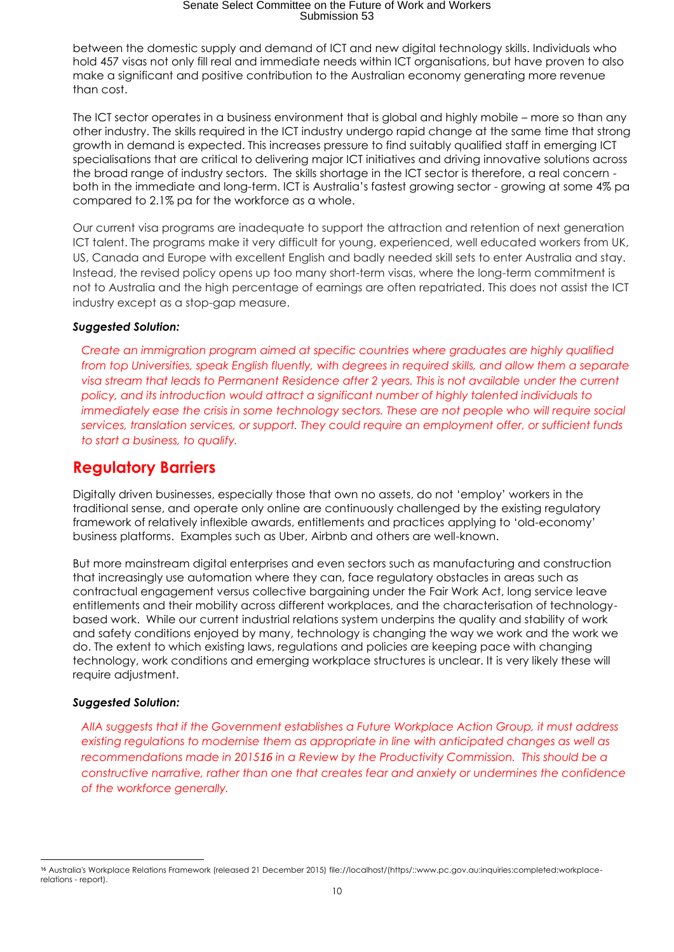between the domestic supply and demand of ICT and new digital technology skills. Individuals who hold 457 visas not only fill real and immediate needs within ICT organisations, but have proven to also make a significant and positive contribution to the Australian economy generating more revenue than cost.

The ICT sector operates in a business environment that is global and highly mobile – more so than any other industry. The skills required in the ICT industry undergo rapid change at the same time that strong growth in demand is expected. This increases pressure to find suitably qualified staff in emerging ICT specialisations that are critical to delivering major ICT initiatives and driving innovative solutions across the broad range of industry sectors. The skills shortage in the ICT sector is therefore, a real concern both in the immediate and long-term. ICT is Australia's fastest growing sector - growing at some 4% pa compared to 2.1% pa for the workforce as a whole.

Our current visa programs are inadequate to support the attraction and retention of next generation ICT talent. The programs make it very difficult for young, experienced, well educated workers from UK, US, Canada and Europe with excellent English and badly needed skill sets to enter Australia and stay. Instead, the revised policy opens up too many short-term visas, where the long-term commitment is not to Australia and the high percentage of earnings are often repatriated. This does not assist the ICT industry except as a stop-gap measure.

#### *Suggested Solution:*

*Create an immigration program aimed at specific countries where graduates are highly qualified from top Universities, speak English fluently, with degrees in required skills, and allow them a separate visa stream that leads to Permanent Residence after 2 years. This is not available under the current policy, and its introduction would attract a significant number of highly talented individuals to immediately ease the crisis in some technology sectors. These are not people who will require social services, translation services, or support. They could require an employment offer, or sufficient funds to start a business, to qualify.*

#### **Regulatory Barriers**

Digitally driven businesses, especially those that own no assets, do not 'employ' workers in the traditional sense, and operate only online are continuously challenged by the existing regulatory framework of relatively inflexible awards, entitlements and practices applying to 'old-economy' business platforms. Examples such as Uber, Airbnb and others are well-known.

But more mainstream digital enterprises and even sectors such as manufacturing and construction that increasingly use automation where they can, face regulatory obstacles in areas such as contractual engagement versus collective bargaining under the Fair Work Act, long service leave entitlements and their mobility across different workplaces, and the characterisation of technologybased work. While our current industrial relations system underpins the quality and stability of work and safety conditions enjoyed by many, technology is changing the way we work and the work we do. The extent to which existing laws, regulations and policies are keeping pace with changing technology, work conditions and emerging workplace structures is unclear. It is very likely these will require adjustment.

#### *Suggested Solution:*

*AIIA suggests that if the Government establishes a Future Workplace Action Group, it must address existing regulations to modernise them as appropriate in line with anticipated changes as well as recommendations made in 201516 in a Review by the Productivity Commission. This should be a constructive narrative, rather than one that creates fear and anxiety or undermines the confidence of the workforce generally.*

**<sup>.</sup>** <sup>16</sup> Australia's Workplace Relations Framework (released 21 December 2015) [file://localhost/\(https/::www.pc.gov.au:inquiries:completed:workplace](file:///C:/(https/::www.pc.gov.au:inquiries:completed:workplace-relations%23report).)[relations -](file:///C:/(https/::www.pc.gov.au:inquiries:completed:workplace-relations%23report).) report).